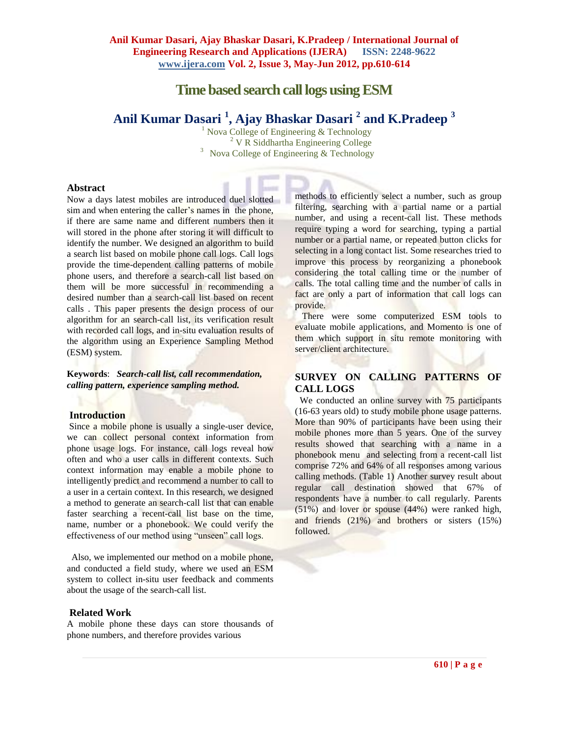# **Time based search call logs using ESM**

# **Anil Kumar Dasari <sup>1</sup> , Ajay Bhaskar Dasari <sup>2</sup> and K.Pradeep <sup>3</sup>**

<sup>1</sup> Nova College of Engineering  $&$  Technology <sup>2</sup> V R Siddhartha Engineering College <sup>3</sup> Nova College of Engineering  $&$  Technology

#### **Abstract**

Now a days latest mobiles are introduced duel slotted sim and when entering the caller's names in the phone, if there are same name and different numbers then it will stored in the phone after storing it will difficult to identify the number. We designed an algorithm to build a search list based on mobile phone call logs. Call logs provide the time-dependent calling patterns of mobile phone users, and therefore a search-call list based on them will be more successful in recommending a desired number than a search-call list based on recent calls . This paper presents the design process of our algorithm for an search-call list, its verification result with recorded call logs, and in-situ evaluation results of the algorithm using an Experience Sampling Method (ESM) system.

**Keywords**: *Search-call list, call recommendation, calling pattern, experience sampling method.*

#### **Introduction**

Since a mobile phone is usually a single-user device, we can collect personal context information from phone usage logs. For instance, call logs reveal how often and who a user calls in different contexts. Such context information may enable a mobile phone to intelligently predict and recommend a number to call to a user in a certain context. In this research, we designed a method to generate an search-call list that can enable faster searching a recent-call list base on the time, name, number or a phonebook. We could verify the effectiveness of our method using "unseen" call logs.

Also, we implemented our method on a mobile phone, and conducted a field study, where we used an ESM system to collect in-situ user feedback and comments about the usage of the search-call list.

#### **Related Work**

A mobile phone these days can store thousands of phone numbers, and therefore provides various

methods to efficiently select a number, such as group filtering, searching with a partial name or a partial number, and using a recent-call list. These methods require typing a word for searching, typing a partial number or a partial name, or repeated button clicks for selecting in a long contact list. Some researches tried to improve this process by reorganizing a phonebook considering the total calling time or the number of calls. The total calling time and the number of calls in fact are only a part of information that call logs can provide.

 There were some computerized ESM tools to evaluate mobile applications, and Momento is one of them which support in situ remote monitoring with server/client architecture.

# **SURVEY ON CALLING PATTERNS OF CALL LOGS**

We conducted an online survey with 75 participants (16-63 years old) to study mobile phone usage patterns. More than 90% of participants have been using their mobile phones more than 5 years. One of the survey results showed that searching with a name in a phonebook menu and selecting from a recent-call list comprise 72% and 64% of all responses among various calling methods. (Table 1) Another survey result about regular call destination showed that 67% of respondents have a number to call regularly. Parents (51%) and lover or spouse (44%) were ranked high, and friends (21%) and brothers or sisters (15%) followed.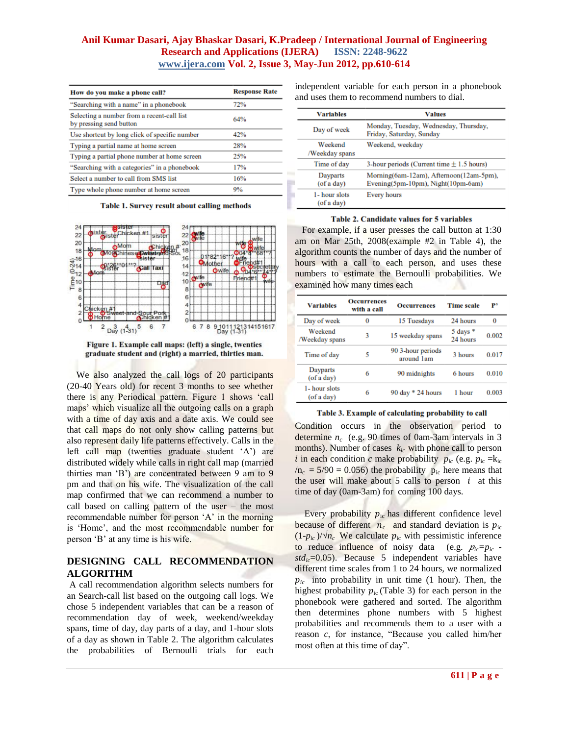## **Anil Kumar Dasari, Ajay Bhaskar Dasari, K.Pradeep / International Journal of Engineering Research and Applications (IJERA) ISSN: 2248-9622 www.ijera.com Vol. 2, Issue 3, May-Jun 2012, pp.610-614**

| How do you make a phone call?                                         | <b>Response Rate</b> |
|-----------------------------------------------------------------------|----------------------|
| "Searching with a name" in a phonebook                                | 72%                  |
| Selecting a number from a recent-call list<br>by pressing send button | 64%                  |
| Use shortcut by long click of specific number                         | 42%                  |
| Typing a partial name at home screen                                  | 28%                  |
| Typing a partial phone number at home screen                          | 25%                  |
| "Searching with a categories" in a phonebook                          | 17%                  |
| Select a number to call from SMS list                                 | 16%                  |
| Type whole phone number at home screen                                | 9%                   |

Table 1. Survey result about calling methods



Figure 1. Example call maps: (left) a single, twenties graduate student and (right) a married, thirties man.

We also analyzed the call logs of 20 participants (20-40 Years old) for recent 3 months to see whether there is any Periodical pattern. Figure 1 shows "call maps" which visualize all the outgoing calls on a graph with a time of day axis and a date axis. We could see that call maps do not only show calling patterns but also represent daily life patterns effectively. Calls in the left call map (twenties graduate student 'A') are distributed widely while calls in right call map (married thirties man "B") are concentrated between 9 am to 9 pm and that on his wife. The visualization of the call map confirmed that we can recommend a number to call based on calling pattern of the user – the most recommendable number for person 'A' in the morning is "Home", and the most recommendable number for person "B" at any time is his wife.

# **DESIGNING CALL RECOMMENDATION ALGORITHM**

A call recommendation algorithm selects numbers for an Search-call list based on the outgoing call logs. We chose 5 independent variables that can be a reason of recommendation day of week, weekend/weekday spans, time of day, day parts of a day, and 1-hour slots of a day as shown in Table 2. The algorithm calculates the probabilities of Bernoulli trials for each independent variable for each person in a phonebook and uses them to recommend numbers to dial.

| <b>Variables</b>            | <b>Values</b>                                                                 |
|-----------------------------|-------------------------------------------------------------------------------|
| Day of week                 | Monday, Tuesday, Wednesday, Thursday,<br>Friday, Saturday, Sunday             |
| Weekend<br>/Weekday spans   | Weekend, weekday                                                              |
| Time of day                 | 3-hour periods (Current time $\pm$ 1.5 hours)                                 |
| Dayparts<br>(of a day)      | Morning(6am-12am), Afternoon(12am-5pm),<br>Evening(5pm-10pm), Night(10pm-6am) |
| 1- hour slots<br>(of a day) | Every hours                                                                   |

#### Table 2. Candidate values for 5 variables

 For example, if a user presses the call button at 1:30 am on Mar 25th, 2008(example #2 in Table 4), the algorithm counts the number of days and the number of hours with a call to each person, and uses these numbers to estimate the Bernoulli probabilities. We examined how many times each

| <b>Variables</b>            | <b>Occurrences</b><br>with a call | <b>Occurrences</b>              | <b>Time scale</b>              | p,    |
|-----------------------------|-----------------------------------|---------------------------------|--------------------------------|-------|
| Day of week                 | 0                                 | 15 Tuesdays                     | 24 hours                       | 0     |
| Weekend<br>/Weekday spans   | 3                                 | 15 weekday spans                | $5 \text{ days}$ *<br>24 hours | 0.002 |
| Time of day                 | 5                                 | 90 3-hour periods<br>around 1am | 3 hours                        | 0.017 |
| Dayparts<br>(of a day)      | 6                                 | 90 midnights                    | 6 hours                        | 0.010 |
| 1- hour slots<br>(of a day) | 6                                 | 90 day $*$ 24 hours             | 1 hour                         | 0.003 |

Table 3. Example of calculating probability to call

Condition occurs in the observation period to determine *n<sup>c</sup>* (e.g. 90 times of 0am-3am intervals in 3 months). Number of cases *kic* with phone call to person *i* in each condition *c* make probability  $p_{ic}$  (e.g.  $p_{ic} = k_{ic}$  $/n_c = 5/90 = 0.056$ ) the probability  $p_{ic}$  here means that the user will make about 5 calls to person  $i$  at this time of day (0am-3am) for coming 100 days.

Every probability  $p_{\text{ic}}$  has different confidence level because of different  $n_c$  and standard deviation is  $p_{ic}$  $(1-p<sub>ic</sub>)/\sqrt{n_c}$  We calculate  $p<sub>ic</sub>$  with pessimistic inference to reduce influence of noisy data (e.g.  $p_{ic}=p_{ic}$   $std<sub>ic</sub>=0.05$ ). Because 5 independent variables have different time scales from 1 to 24 hours, we normalized  $p_{ic}$  into probability in unit time (1 hour). Then, the highest probability  $p_{ic}$  (Table 3) for each person in the phonebook were gathered and sorted. The algorithm then determines phone numbers with 5 highest probabilities and recommends them to a user with a reason *c*, for instance, "Because you called him/her most often at this time of day".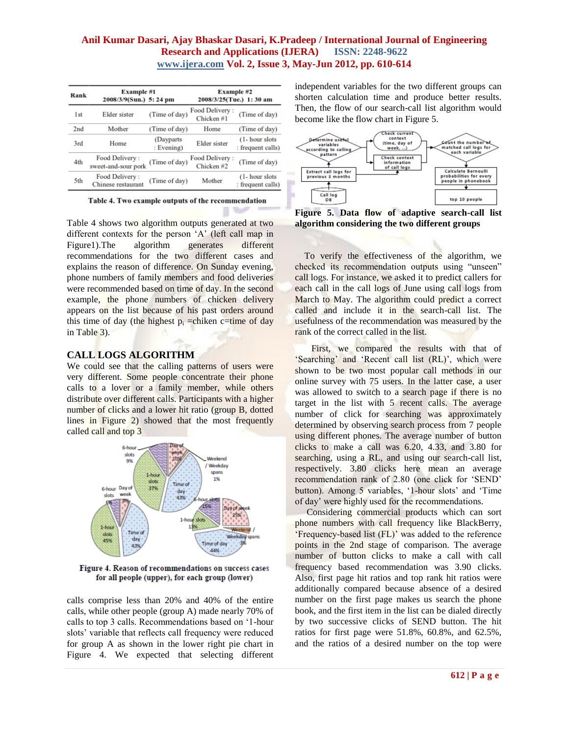## **Anil Kumar Dasari, Ajay Bhaskar Dasari, K.Pradeep / International Journal of Engineering Research and Applications (IJERA) ISSN: 2248-9622 www.ijera.com Vol. 2, Issue 3, May-Jun 2012, pp. 610-614**

| Rank            | <b>Example #1</b><br>2008/3/9(Sun.) 5: 24 pm |                          | <b>Example #2</b><br>2008/3/25(Tue.) 1:30 am |                                      |
|-----------------|----------------------------------------------|--------------------------|----------------------------------------------|--------------------------------------|
| 1 <sub>st</sub> | <b>Elder</b> sister                          | (Time of day)            | Food Delivery:<br>Chicken#1                  | (Time of day)                        |
| 2 <sub>nd</sub> | Mother                                       | (Time of day)            | Home                                         | (Time of day)                        |
| 3rd             | Home                                         | (Dayparts)<br>: Evening) | <b>Elder</b> sister                          | (1- hour slots)<br>: frequent calls) |
| 4th             | Food Delivery:<br>sweet-and-sour pork        | (Time of day)            | Food Delivery:<br>Chicken#2                  | (Time of day)                        |
| 5th             | Food Delivery:<br><b>Chinese</b> restaurant  | (Time of day)            | Mother                                       | (1- hour slots)<br>: frequent calls) |

Table 4. Two example outputs of the recommendation

Table 4 shows two algorithm outputs generated at two different contexts for the person 'A' (left call map in Figure1).The algorithm generates different recommendations for the two different cases and explains the reason of difference. On Sunday evening, phone numbers of family members and food deliveries were recommended based on time of day. In the second example, the phone numbers of chicken delivery appears on the list because of his past orders around this time of day (the highest  $p_i$  =chiken c=time of day in Table 3).

#### **CALL LOGS ALGORITHM**

We could see that the calling patterns of users were very different. Some people concentrate their phone calls to a lover or a family member, while others distribute over different calls. Participants with a higher number of clicks and a lower hit ratio (group B, dotted lines in Figure 2) showed that the most frequently called call and top 3



Figure 4. Reason of recommendations on success cases for all people (upper), for each group (lower)

calls comprise less than 20% and 40% of the entire calls, while other people (group A) made nearly 70% of calls to top 3 calls. Recommendations based on "1-hour slots" variable that reflects call frequency were reduced for group A as shown in the lower right pie chart in Figure 4. We expected that selecting different independent variables for the two different groups can shorten calculation time and produce better results. Then, the flow of our search-call list algorithm would become like the flow chart in Figure 5.



**Figure 5. Data flow of adaptive search-call list algorithm considering the two different groups**

To verify the effectiveness of the algorithm, we checked its recommendation outputs using "unseen" call logs. For instance, we asked it to predict callers for each call in the call logs of June using call logs from March to May. The algorithm could predict a correct called and include it in the search-call list. The usefulness of the recommendation was measured by the rank of the correct called in the list.

First, we compared the results with that of 'Searching' and 'Recent call list (RL)', which were shown to be two most popular call methods in our online survey with 75 users. In the latter case, a user was allowed to switch to a search page if there is no target in the list with 5 recent calls. The average number of click for searching was approximately determined by observing search process from 7 people using different phones. The average number of button clicks to make a call was 6.20, 4.33, and 3.80 for searching, using a RL, and using our search-call list, respectively. 3.80 clicks here mean an average recommendation rank of 2.80 (one click for "SEND" button). Among 5 variables, '1-hour slots' and 'Time of day" were highly used for the recommendations.

 Considering commercial products which can sort phone numbers with call frequency like BlackBerry, 'Frequency-based list (FL)' was added to the reference points in the 2nd stage of comparison. The average number of button clicks to make a call with call frequency based recommendation was 3.90 clicks. Also, first page hit ratios and top rank hit ratios were additionally compared because absence of a desired number on the first page makes us search the phone book, and the first item in the list can be dialed directly by two successive clicks of SEND button. The hit ratios for first page were 51.8%, 60.8%, and 62.5%, and the ratios of a desired number on the top were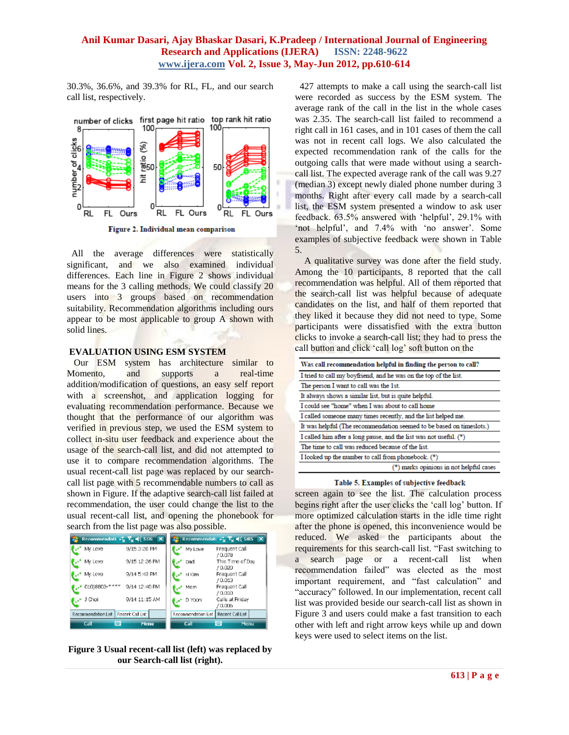## **Anil Kumar Dasari, Ajay Bhaskar Dasari, K.Pradeep / International Journal of Engineering Research and Applications (IJERA) ISSN: 2248-9622 www.ijera.com Vol. 2, Issue 3, May-Jun 2012, pp.610-614**

30.3%, 36.6%, and 39.3% for RL, FL, and our search call list, respectively.



Figure 2. Individual mean comparison

 All the average differences were statistically significant, and we also examined individual differences. Each line in Figure 2 shows individual means for the 3 calling methods. We could classify 20 users into 3 groups based on recommendation suitability. Recommendation algorithms including ours appear to be most applicable to group A shown with solid lines.

### **EVALUATION USING ESM SYSTEM**

 Our ESM system has architecture similar to Momento, and supports a real-time addition/modification of questions, an easy self report with a screenshot, and application logging for evaluating recommendation performance. Because we thought that the performance of our algorithm was verified in previous step, we used the ESM system to collect in-situ user feedback and experience about the usage of the search-call list, and did not attempted to use it to compare recommendation algorithms. The usual recent-call list page was replaced by our searchcall list page with 5 recommendable numbers to call as shown in Figure. If the adaptive search-call list failed at recommendation, the user could change the list to the usual recent-call list, and opening the phonebook for search from the list page was also possible.

| <b>E</b> Recommendati $\mathcal{L}_X$ $\overline{Y}_X = \frac{1}{2}$ 5:06 $\overline{X}$ |                   |                     | $\frac{1}{2}$ Recommendati $\frac{1}{2}$ , $\frac{1}{2}$ , $\frac{1}{2}$ , $\frac{1}{2}$ , $\frac{1}{2}$ , $\frac{1}{2}$ , $\frac{1}{2}$ |                  |
|------------------------------------------------------------------------------------------|-------------------|---------------------|------------------------------------------------------------------------------------------------------------------------------------------|------------------|
| My Love                                                                                  | 9/15 3:20 PM      | of My Love          | Frequent Call<br>70.078                                                                                                                  |                  |
| <b>A</b> <sup>*</sup> My Love                                                            | 9/15 12:26 PM     | * Dadi              | (0.020)                                                                                                                                  | This Time of Day |
| over My Love                                                                             | 9/14 5:43 PM      | H Kim               | Frequent Call<br>/0.013                                                                                                                  |                  |
| $\mathbf{L}^*$ 010)8803-+                                                                | *** 9/14 12:40 PM | Mam                 | Frequent Call<br>70.010                                                                                                                  |                  |
| l_⊷ J Choi                                                                               | 9/14 11:15 AM     | D Yoon              | Calls at Friday<br>70.006                                                                                                                |                  |
| Recommendation List   Recent Call List                                                   |                   | Recommendation List | Recent Call List                                                                                                                         |                  |
| щ<br>Call                                                                                | Menu              | Call                | <b>WAR</b>                                                                                                                               | Menu             |

**Figure 3 Usual recent-call list (left) was replaced by our Search-call list (right).**

427 attempts to make a call using the search-call list were recorded as success by the ESM system. The average rank of the call in the list in the whole cases was 2.35. The search-call list failed to recommend a right call in 161 cases, and in 101 cases of them the call was not in recent call logs. We also calculated the expected recommendation rank of the calls for the outgoing calls that were made without using a searchcall list. The expected average rank of the call was 9.27 (median 3) except newly dialed phone number during 3 months. Right after every call made by a search-call list, the ESM system presented a window to ask user feedback. 63.5% answered with 'helpful', 29.1% with 'not helpful', and 7.4% with 'no answer'. Some examples of subjective feedback were shown in Table 5.

 A qualitative survey was done after the field study. Among the 10 participants, 8 reported that the call recommendation was helpful. All of them reported that the search-call list was helpful because of adequate candidates on the list, and half of them reported that they liked it because they did not need to type. Some participants were dissatisfied with the extra button clicks to invoke a search-call list; they had to press the call button and click 'call log' soft button on the

| Was call recommendation helpful in finding the person to call?       |  |  |
|----------------------------------------------------------------------|--|--|
| I tried to call my boyfriend, and he was on the top of the list.     |  |  |
| The person I want to call was the 1st.                               |  |  |
| It always shows a similar list, but is quite helpful.                |  |  |
| I could see "home" when I was about to call home                     |  |  |
| I called someone many times recently, and the list helped me.        |  |  |
| It was helpful (The recommendation seemed to be based on timeslots.) |  |  |
| I called him after a long pause, and the list was not useful. (*)    |  |  |
| The time to call was reduced because of the list.                    |  |  |
| I looked up the number to call from phonebook. (*)                   |  |  |
| (*) marks opinions in not helpful cases                              |  |  |

#### Table 5. Examples of subjective feedback

screen again to see the list. The calculation process begins right after the user clicks the 'call log' button. If more optimized calculation starts in the idle time right after the phone is opened, this inconvenience would be reduced. We asked the participants about the requirements for this search-call list. "Fast switching to a search page or a recent-call list when recommendation failed" was elected as the most important requirement, and "fast calculation" and "accuracy" followed. In our implementation, recent call list was provided beside our search-call list as shown in Figure 3 and users could make a fast transition to each other with left and right arrow keys while up and down keys were used to select items on the list.